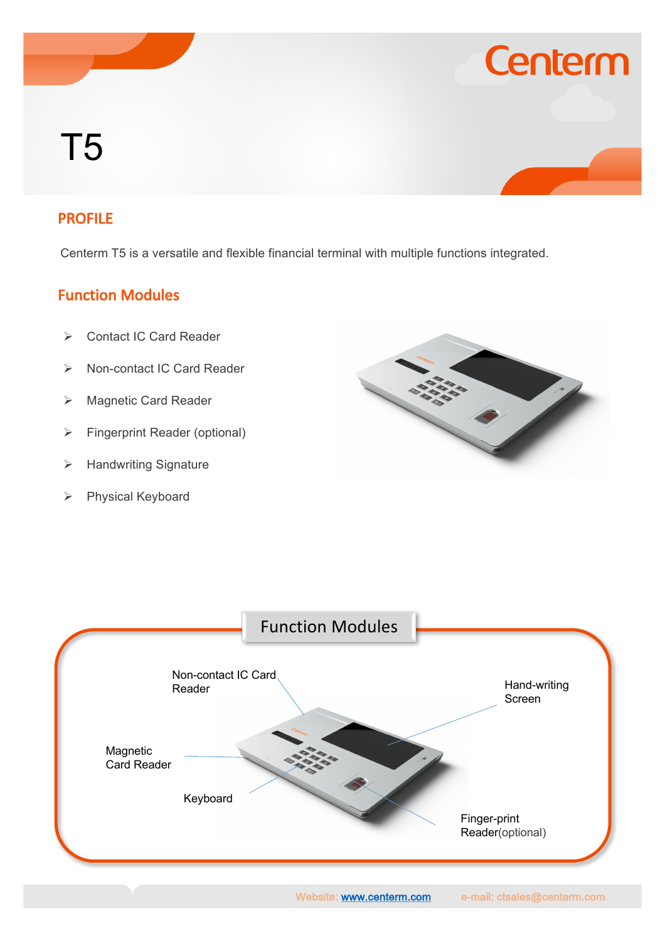# T5

#### PROFILE

Centerm T5 is a versatile and flexible financial terminal with multiple functions integrated.

#### Function Modules

- Ø Contact IC Card Reader
- Ø Non-contact IC Card Reader
- Ø Magnetic Card Reader
- $\triangleright$  Fingerprint Reader (optional)
- $\triangleright$  Handwriting Signature
- Ø Physical Keyboard



**Centerm** 



Website: www.centerm.com e-mail: ctsales@centerm.com